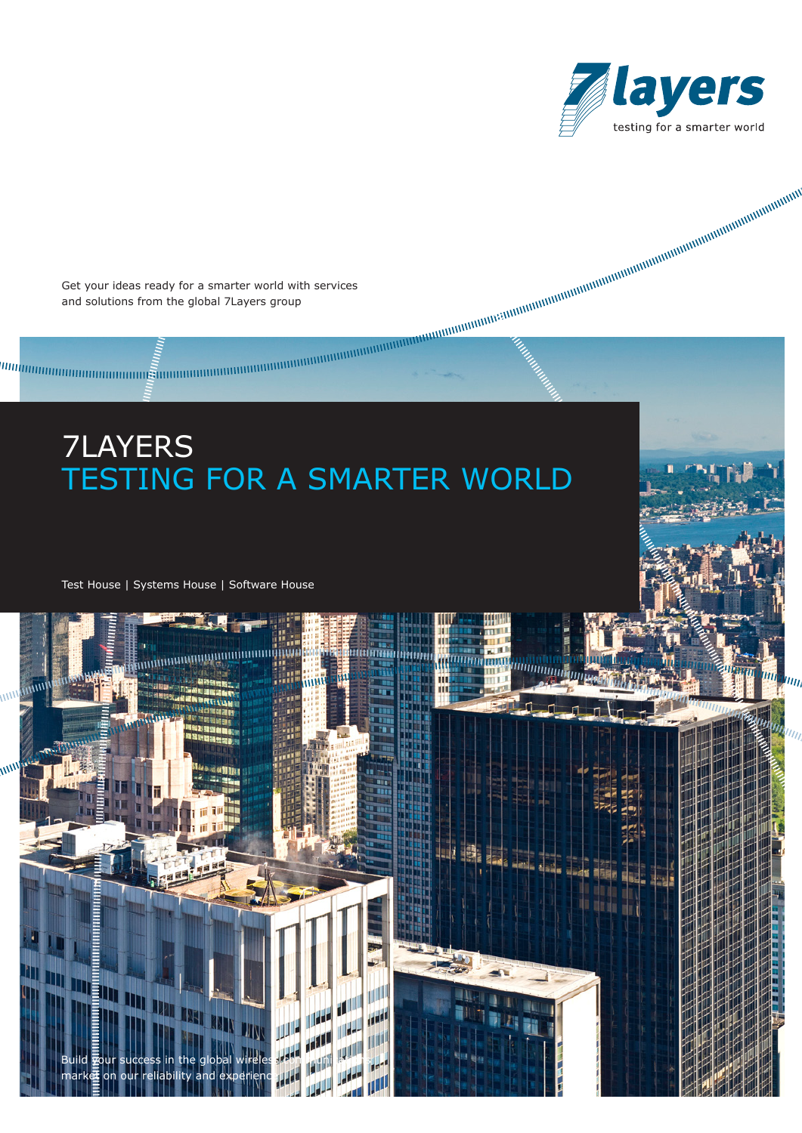

Get your ideas ready for a smarter world with services and solutions from the global 7Layers group

# 7LAYERS TESTING FOR A SMARTER WORLD

111



**Million** 

<u> Liberto anni </u>

Test House | Systems House | Software House

 $\overline{m}$ 

m,

Build gour success in the global wireless communications

 $m$ arket on our reliability and experience

**TIL IN**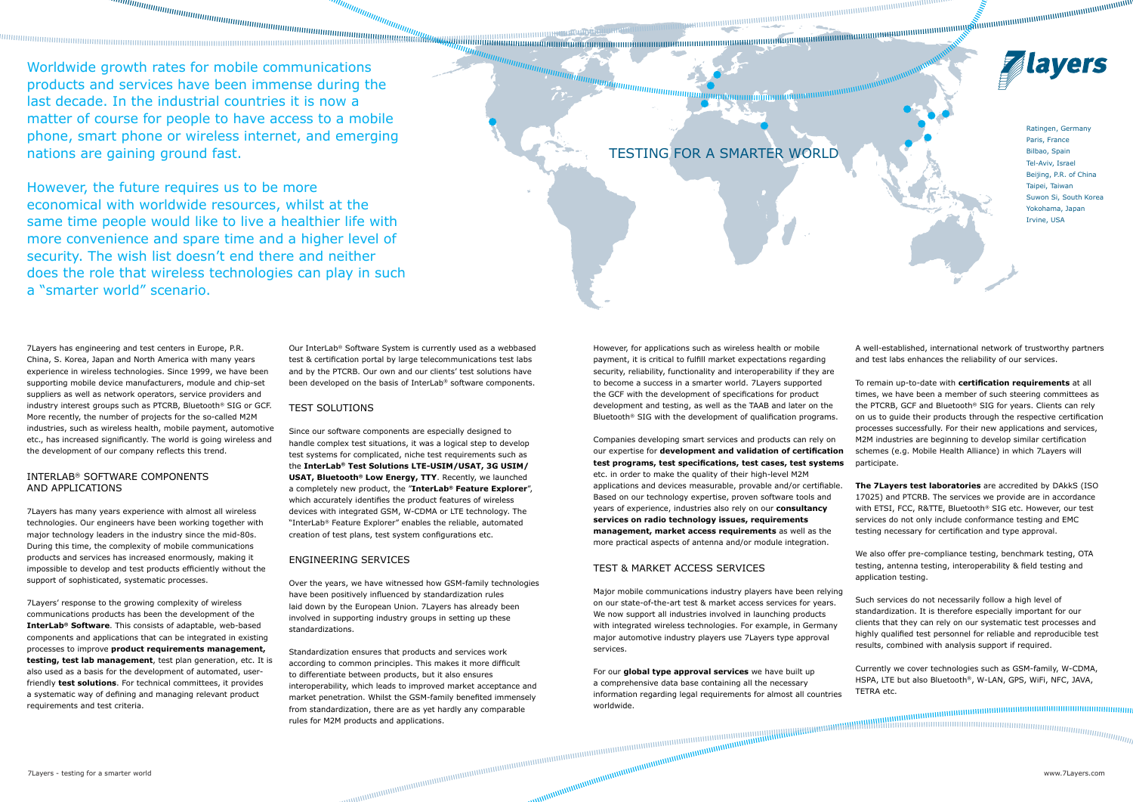Worldwide growth rates for mobile communications products and services have been immense during the last decade. In the industrial countries it is now a matter of course for people to have access to a mobile phone, smart phone or wireless internet, and emerging nations are gaining ground fast.

However, the future requires us to be more economical with worldwide resources, whilst at the same time people would like to live a healthier life with more convenience and spare time and a higher level of security. The wish list doesn't end there and neither does the role that wireless technologies can play in such a "smarter world" scenario.

7Layers has engineering and test centers in Europe, P.R. China, S. Korea, Japan and North America with many years experience in wireless technologies. Since 1999, we have been supporting mobile device manufacturers, module and chip-set suppliers as well as network operators, service providers and industry interest groups such as PTCRB, Bluetooth® SIG or GCF. More recently, the number of projects for the so-called M2M industries, such as wireless health, mobile payment, automotive etc., has increased significantly. The world is going wireless and the development of our company reflects this trend.

### INTERLAB® SOFTWARE COMPONENTS AND APPLICATIONS

7Layers has many years experience with almost all wireless technologies. Our engineers have been working together with major technology leaders in the industry since the mid-80s. During this time, the complexity of mobile communications products and services has increased enormously, making it impossible to develop and test products efficiently without the support of sophisticated, systematic processes.

7Layers' response to the growing complexity of wireless communications products has been the development of the **InterLab® Software**. This consists of adaptable, web-based components and applications that can be integrated in existing processes to improve **product requirements management, testing, test lab management**, test plan generation, etc. It is also used as a basis for the development of automated, userfriendly **test solutions**. For technical committees, it provides a systematic way of defining and managing relevant product requirements and test criteria.

Our InterLab® Software System is currently used as a webbased test & certification portal by large telecommunications test labs and by the PTCRB. Our own and our clients' test solutions have been developed on the basis of InterLab® software components.

## Test Solutions

Since our software components are especially designed to handle complex test situations, it was a logical step to develop test systems for complicated, niche test requirements such as the **InterLab® Test Solutions LTE-USIM/USAT, 3G USIM/ USAT, Bluetooth® Low Energy, TTY**. Recently, we launched a completely new product, the "**InterLab® Feature Explorer**", which accurately identifies the product features of wireless devices with integrated GSM, W-CDMA or LTE technology. The "InterLab® Feature Explorer" enables the reliable, automated creation of test plans, test system configurations etc.

## Engineering Services

Over the years, we have witnessed how GSM-family technologies have been positively influenced by standardization rules laid down by the European Union. 7Layers has already been involved in supporting industry groups in setting up these standardizations.

Standardization ensures that products and services work according to common principles. This makes it more difficult to differentiate between products, but it also ensures interoperability, which leads to improved market acceptance and market penetration. Whilst the GSM-family benefited immensely from standardization, there are as yet hardly any comparable rules for M2M products and applications.

However, for applications such as wireless health or mobile payment, it is critical to fulfill market expectations regarding security, reliability, functionality and interoperability if they are to become a success in a smarter world. 7Layers supported the GCF with the development of specifications for product development and testing, as well as the TAAB and later on the Bluetooth® SIG with the development of qualification programs.

# TEST & MARKET ACCESS SERVICES

Companies developing smart services and products can rely on our expertise for **development and validation of certification test programs, test specifications, test cases, test systems** etc. in order to make the quality of their high-level M2M applications and devices measurable, provable and/or certifiable. Based on our technology expertise, proven software tools and years of experience, industries also rely on our **consultancy services on radio technology issues, requirements management, market access requirements** as well as the more practical aspects of antenna and/or module integration. M2M industries are beginning to develop similar certification schemes (e.g. Mobile Health Alliance) in which 7Layers will participate. **The 7Layers test laboratories** are accredited by DAkkS (ISO 17025) and PTCRB. The services we provide are in accordance with ETSI, FCC, R&TTE, Bluetooth® SIG etc. However, our test services do not only include conformance testing and EMC testing necessary for certification and type approval.

For our **global type approval services** we have built up a comprehensive data base containing all the necessary information regarding legal requirements for almost all countries worldwide.

A well-established, international network of trustworthy partners and test labs enhances the reliability of our services.

To remain up-to-date with **certification requirements** at all times, we have been a member of such steering committees as the PTCRB, GCF and Bluetooth® SIG for years. Clients can rely on us to guide their products through the respective certification processes successfully. For their new applications and services,

Major mobile communications industry players have been relying on our state-of-the-art test & market access services for years. We now support all industries involved in launching products with integrated wireless technologies. For example, in Germany major automotive industry players use 7Layers type approval services. Such services do not necessarily follow a high level of standardization. It is therefore especially important for our clients that they can rely on our systematic test processes and highly qualified test personnel for reliable and reproducible test results, combined with analysis support if required.

We also offer pre-compliance testing, benchmark testing, OTA testing, antenna testing, interoperability & field testing and application testing.

Currently we cover technologies such as GSM-family, W-CDMA, HSPA, LTE but also Bluetooth®, W-LAN, GPS, WiFi, NFC, JAVA, TETRA etc.

muunnuunnuunnuunnuunnuu

TESTING FOR A SMARTER WORLD